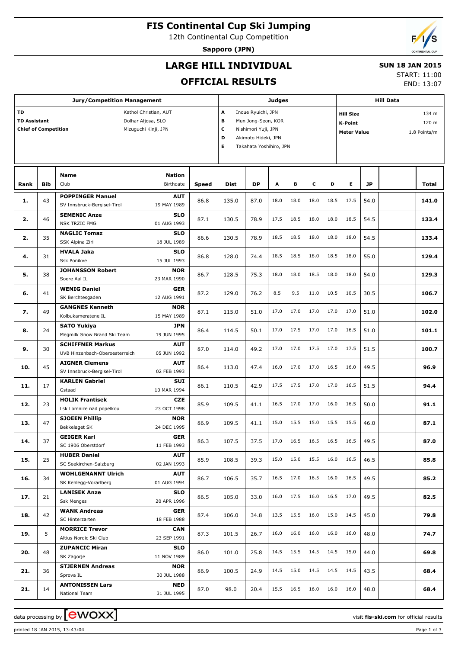# **FIS Continental Cup Ski Jumping**

12th Continental Cup Competition

**Sapporo (JPN)**

END: 13:07

# **LARGE HILL INDIVIDUAL**

### **SUN 18 JAN 2015** START: 11:00

**OFFICIAL RESULTS**

| <b>Jury/Competition Management</b> |            |                                                        |                            |                          | <b>Judges</b> |                         |      |      |      |      | <b>Hill Data</b>                   |           |                           |       |  |  |  |
|------------------------------------|------------|--------------------------------------------------------|----------------------------|--------------------------|---------------|-------------------------|------|------|------|------|------------------------------------|-----------|---------------------------|-------|--|--|--|
| <b>TD</b><br>Kathol Christian, AUT |            |                                                        |                            |                          |               | A<br>Inoue Ryuichi, JPN |      |      |      |      |                                    |           | 134 m<br><b>Hill Size</b> |       |  |  |  |
| <b>TD Assistant</b>                |            | Dolhar Aljosa, SLO                                     |                            | в<br>Mun Jong-Seon, KOR  |               |                         |      |      |      |      | 120 m<br><b>K-Point</b>            |           |                           |       |  |  |  |
| <b>Chief of Competition</b>        |            | Mizuguchi Kinji, JPN                                   |                            | c<br>Nishimori Yuji, JPN |               |                         |      |      |      |      | <b>Meter Value</b><br>1.8 Points/m |           |                           |       |  |  |  |
|                                    |            |                                                        |                            |                          | D             | Akimoto Hideki, JPN     |      |      |      |      |                                    |           |                           |       |  |  |  |
|                                    |            |                                                        |                            |                          | E             | Takahata Yoshihiro, JPN |      |      |      |      |                                    |           |                           |       |  |  |  |
|                                    |            |                                                        |                            |                          |               |                         |      |      |      |      |                                    |           |                           |       |  |  |  |
|                                    |            |                                                        |                            |                          |               |                         |      |      |      |      |                                    |           |                           |       |  |  |  |
| Rank                               | <b>Bib</b> | <b>Name</b><br>Club                                    | <b>Nation</b><br>Birthdate | <b>Speed</b>             | <b>Dist</b>   | <b>DP</b>               | A    | в    | c    | D    | E.                                 | <b>JP</b> |                           | Total |  |  |  |
|                                    |            |                                                        |                            |                          |               |                         |      |      |      |      |                                    |           |                           |       |  |  |  |
| 1.                                 | 43         | <b>POPPINGER Manuel</b><br>SV Innsbruck-Bergisel-Tirol | <b>AUT</b><br>19 MAY 1989  | 86.8                     | 135.0         | 87.0                    | 18.0 | 18.0 | 18.0 | 18.5 | 17.5                               | 54.0      |                           | 141.0 |  |  |  |
|                                    |            | <b>SEMENIC Anze</b>                                    | <b>SLO</b>                 |                          |               |                         |      |      |      |      |                                    |           |                           |       |  |  |  |
| 2.                                 | 46         | <b>NSK TRZIC FMG</b>                                   | 01 AUG 1993                | 87.1                     | 130.5         | 78.9                    | 17.5 | 18.5 | 18.0 | 18.0 | 18.5                               | 54.5      |                           | 133.4 |  |  |  |
|                                    |            | <b>NAGLIC Tomaz</b>                                    | <b>SLO</b>                 |                          |               |                         |      |      |      |      |                                    |           |                           |       |  |  |  |
| 2.                                 | 35         | SSK Alpina Ziri                                        | 18 JUL 1989                | 86.6                     | 130.5         | 78.9                    | 18.5 | 18.5 | 18.0 | 18.0 | 18.0                               | 54.5      |                           | 133.4 |  |  |  |
|                                    |            | <b>HVALA Jaka</b>                                      | <b>SLO</b>                 |                          |               |                         |      |      |      | 18.5 |                                    |           |                           |       |  |  |  |
| 4.                                 | 31         | Ssk Ponikve                                            | 15 JUL 1993                | 86.8                     | 128.0         | 74.4                    | 18.5 | 18.5 | 18.0 |      | 18.0                               | 55.0      |                           | 129.4 |  |  |  |
| 5.                                 | 38         | <b>JOHANSSON Robert</b>                                | <b>NOR</b>                 | 86.7                     | 128.5         | 75.3                    | 18.0 | 18.0 | 18.5 | 18.0 | 18.0                               | 54.0      |                           | 129.3 |  |  |  |
|                                    |            | Soere Aal IL                                           | 23 MAR 1990                |                          |               |                         |      |      |      |      |                                    |           |                           |       |  |  |  |
| 6.                                 | 41         | <b>WENIG Daniel</b>                                    | <b>GER</b>                 | 87.2                     | 129.0         | 76.2                    | 8.5  | 9.5  | 11.0 | 10.5 | 10.5                               | 30.5      |                           | 106.7 |  |  |  |
|                                    |            | SK Berchtesgaden                                       | 12 AUG 1991                |                          |               |                         |      |      |      |      |                                    |           |                           |       |  |  |  |
| 7.                                 | 49         | <b>GANGNES Kenneth</b><br>Kolbukameratene IL           | <b>NOR</b><br>15 MAY 1989  | 87.1                     | 115.0         | 51.0                    | 17.0 | 17.0 | 17.0 | 17.0 | 17.0                               | 51.0      |                           | 102.0 |  |  |  |
|                                    |            |                                                        |                            |                          |               |                         |      |      |      |      |                                    |           |                           |       |  |  |  |
| 8.                                 | 24         | <b>SATO Yukiya</b><br>Megmilk Snow Brand Ski Team      | JPN<br>19 JUN 1995         | 86.4                     | 114.5         | 50.1                    | 17.0 | 17.5 | 17.0 | 17.0 | 16.5                               | 51.0      |                           | 101.1 |  |  |  |
|                                    |            | <b>SCHIFFNER Markus</b>                                | <b>AUT</b>                 |                          |               |                         |      |      |      |      |                                    |           |                           |       |  |  |  |
| 9.                                 | 30         | UVB Hinzenbach-Oberoesterreich                         | 05 JUN 1992                | 87.0                     | 114.0         | 49.2                    | 17.0 | 17.0 | 17.5 | 17.0 | 17.5                               | 51.5      |                           | 100.7 |  |  |  |
|                                    |            | <b>AIGNER Clemens</b>                                  | <b>AUT</b>                 |                          |               |                         |      |      |      |      |                                    |           |                           |       |  |  |  |
| 10.                                | 45         | SV Innsbruck-Bergisel-Tirol                            | 02 FEB 1993                | 86.4                     | 113.0         | 47.4                    | 16.0 | 17.0 | 17.0 | 16.5 | 16.0                               | 49.5      |                           | 96.9  |  |  |  |
|                                    |            | <b>KARLEN Gabriel</b>                                  | <b>SUI</b>                 |                          |               |                         |      |      |      |      |                                    |           |                           |       |  |  |  |
| 11.                                | 17         | Gstaad                                                 | 10 MAR 1994                | 86.1                     | 110.5         | 42.9                    | 17.5 | 17.5 | 17.0 | 17.0 | 16.5                               | 51.5      |                           | 94.4  |  |  |  |
| 12.                                | 23         | <b>HOLIK Frantisek</b>                                 | <b>CZE</b>                 | 85.9                     | 109.5         | 41.1                    | 16.5 | 17.0 | 17.0 | 16.0 | 16.5                               |           |                           | 91.1  |  |  |  |
|                                    |            | Lsk Lomnice nad popelkou                               | 23 OCT 1998                |                          |               |                         |      |      |      |      |                                    | 50.0      |                           |       |  |  |  |
| 13.                                | 47         | <b>SJOEEN Phillip</b>                                  | <b>NOR</b>                 | 86.9                     | 109.5         | 41.1                    | 15.0 | 15.5 | 15.0 | 15.5 | 15.5                               | 46.0      |                           | 87.1  |  |  |  |
|                                    |            | Bekkelaget SK                                          | 24 DEC 1995                |                          |               |                         |      |      |      |      |                                    |           |                           |       |  |  |  |
| 14.                                | 37         | <b>GEIGER Karl</b>                                     | GER                        | 86.3                     | 107.5         | 37.5                    | 17.0 | 16.5 | 16.5 | 16.5 | 16.5                               | 49.5      |                           | 87.0  |  |  |  |
|                                    |            | SC 1906 Oberstdorf                                     | 11 FEB 1993                |                          |               |                         |      |      |      |      |                                    |           |                           |       |  |  |  |
| 15.                                | 25         | <b>HUBER Daniel</b><br>SC Seekirchen-Salzburg          | <b>AUT</b><br>02 JAN 1993  | 85.9                     | 108.5         | 39.3                    | 15.0 | 15.0 | 15.5 | 16.0 | 16.5                               | 46.5      |                           | 85.8  |  |  |  |
|                                    |            | <b>WOHLGENANNT Ulrich</b>                              | <b>AUT</b>                 |                          |               |                         |      |      |      |      |                                    |           |                           |       |  |  |  |
| 16.                                | 34         | SK Kehlegg-Vorarlberg                                  | 01 AUG 1994                | 86.7                     | 106.5         | 35.7                    | 16.5 | 17.0 | 16.5 | 16.0 | 16.5                               | 49.5      |                           | 85.2  |  |  |  |
|                                    |            | <b>LANISEK Anze</b>                                    | <b>SLO</b>                 |                          |               |                         |      |      |      |      |                                    |           |                           |       |  |  |  |
| 17.                                | 21         | <b>Ssk Menges</b>                                      | 20 APR 1996                | 86.5                     | 105.0         | 33.0                    | 16.0 | 17.5 | 16.0 | 16.5 | 17.0                               | 49.5      |                           | 82.5  |  |  |  |
|                                    |            | <b>WANK Andreas</b>                                    | <b>GER</b>                 |                          |               |                         | 13.5 | 15.5 | 16.0 | 15.0 | 14.5                               | 45.0      |                           | 79.8  |  |  |  |
| 18.                                | 42         | SC Hinterzarten                                        | 18 FEB 1988                | 87.4                     | 106.0         | 34.8                    |      |      |      |      |                                    |           |                           |       |  |  |  |
| 19.                                | 5          | <b>MORRICE Trevor</b>                                  | CAN                        | 87.3                     | 101.5         | 26.7                    | 16.0 | 16.0 | 16.0 | 16.0 | 16.0                               | 48.0      |                           | 74.7  |  |  |  |
|                                    |            | Altius Nordic Ski Club                                 | 23 SEP 1991                |                          |               |                         |      |      |      |      |                                    |           |                           |       |  |  |  |
| 20.                                | 48         | <b>ZUPANCIC Miran</b>                                  | <b>SLO</b>                 | 86.0                     | 101.0         | 25.8                    | 14.5 | 15.5 | 14.5 | 14.5 | 15.0                               | 44.0      |                           | 69.8  |  |  |  |
|                                    |            | SK Zagorje                                             | 11 NOV 1989                |                          |               |                         |      |      |      |      |                                    |           |                           |       |  |  |  |
| 21.                                | 36         | <b>STJERNEN Andreas</b><br>Sprova IL                   | <b>NOR</b>                 | 86.9                     | 100.5         | 24.9                    | 14.5 | 15.0 | 14.5 | 14.5 | 14.5                               | 43.5      |                           | 68.4  |  |  |  |
|                                    |            |                                                        | 30 JUL 1988                |                          |               |                         |      |      |      |      |                                    |           |                           |       |  |  |  |
| 21.                                | 14         | <b>ANTONISSEN Lars</b><br>National Team                | <b>NED</b><br>31 JUL 1995  | 87.0                     | 98.0          | 20.4                    | 15.5 | 16.5 | 16.0 | 16.0 | 16.0                               | 48.0      |                           | 68.4  |  |  |  |
|                                    |            |                                                        |                            |                          |               |                         |      |      |      |      |                                    |           |                           |       |  |  |  |

data processing by **CWOXX** and  $\overline{C}$  and  $\overline{C}$  and  $\overline{C}$  and  $\overline{C}$  and  $\overline{C}$  and  $\overline{C}$  and  $\overline{C}$  and  $\overline{C}$  and  $\overline{C}$  and  $\overline{C}$  and  $\overline{C}$  and  $\overline{C}$  and  $\overline{C}$  and  $\overline{C}$  and  $\overline{C}$ 

printed 18 JAN 2015, 13:43:04 Page 1 of 3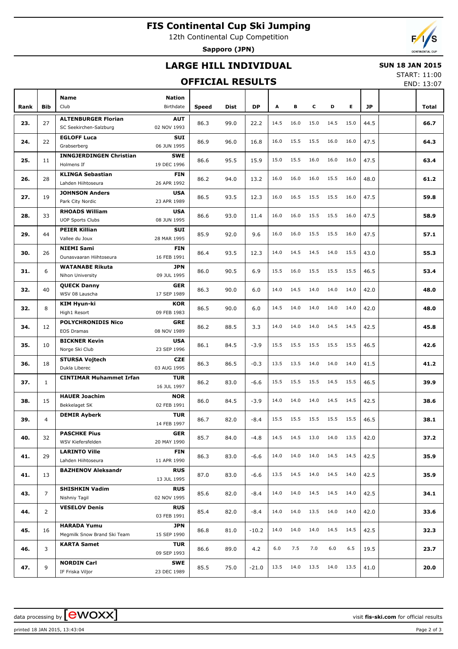# **FIS Continental Cup Ski Jumping**

12th Continental Cup Competition

**Sapporo (JPN)**

## **LARGE HILL INDIVIDUAL**

## **SUN 18 JAN 2015**

# **OFFICIAL RESULTS**

START: 11:00

|      |                |                                           |                            | UFFILIAL KESULIS |             |           |      |      |                          |              |              |           | END: 13:07   |
|------|----------------|-------------------------------------------|----------------------------|------------------|-------------|-----------|------|------|--------------------------|--------------|--------------|-----------|--------------|
|      |                | <b>Name</b><br>Club                       | <b>Nation</b><br>Birthdate |                  |             |           |      |      |                          | D            |              |           |              |
| Rank | <b>Bib</b>     |                                           |                            | <b>Speed</b>     | <b>Dist</b> | <b>DP</b> | A    | в    | c                        |              | Е            | <b>JP</b> | <b>Total</b> |
| 23.  | 27             | <b>ALTENBURGER Florian</b>                | <b>AUT</b>                 | 86.3             | 99.0        | 22.2      | 14.5 | 16.0 | 15.0                     | 14.5         | 15.0         | 44.5      | 66.7         |
|      |                | SC Seekirchen-Salzburg                    | 02 NOV 1993                |                  |             |           |      |      |                          |              |              |           |              |
| 24.  | 22             | <b>EGLOFF Luca</b>                        | SUI                        | 86.9             | 96.0        | 16.8      | 16.0 | 15.5 | 15.5                     | 16.0         | 16.0         | 47.5      | 64.3         |
|      |                | Grabserberg                               | 06 JUN 1995                |                  |             |           |      |      |                          |              |              |           |              |
| 25.  | 11             | <b>INNGJERDINGEN Christian</b>            | <b>SWE</b>                 | 86.6             | 95.5        | 15.9      | 15.0 | 15.5 | 16.0                     | 16.0         | 16.0         | 47.5      | 63.4         |
|      |                | Holmens If                                | 19 DEC 1996                |                  |             |           |      |      |                          |              |              |           |              |
| 26.  | 28             | <b>KLINGA Sebastian</b>                   | <b>FIN</b>                 | 86.2             | 94.0        | 13.2      | 16.0 | 16.0 | 16.0                     | 15.5         | 16.0         | 48.0      | 61.2         |
|      |                | Lahden Hiihtoseura                        | 26 APR 1992                |                  |             |           |      |      |                          |              |              |           |              |
| 27.  | 19             | <b>JOHNSON Anders</b>                     | <b>USA</b>                 | 86.5             | 93.5        | 12.3      | 16.0 | 16.5 | 15.5                     | 15.5         | 16.0         | 47.5      | 59.8         |
|      |                | Park City Nordic                          | 23 APR 1989                |                  |             |           |      |      |                          |              |              |           |              |
| 28.  | 33             | <b>RHOADS William</b>                     | <b>USA</b>                 | 86.6             | 93.0        | 11.4      | 16.0 | 16.0 | 15.5                     | 15.5         | 16.0         | 47.5      | 58.9         |
|      |                | <b>UOP Sports Clubs</b>                   | 08 JUN 1995                |                  |             |           |      |      |                          |              |              |           |              |
| 29.  | 44             | <b>PEIER Killian</b>                      | SUI                        | 85.9             | 92.0        | 9.6       | 16.0 | 16.0 | 15.5                     | 15.5         | 16.0         | 47.5      | 57.1         |
|      |                | Vallee du Joux                            | 28 MAR 1995                |                  |             |           |      |      |                          |              |              |           |              |
| 30.  | 26             | <b>NIEMI Sami</b>                         | <b>FIN</b>                 | 86.4             | 93.5        | 12.3      | 14.0 | 14.5 | 14.5                     | 14.0<br>15.5 | 15.5<br>15.5 | 43.0      | 55.3         |
|      |                | Ounasyaaran Hiihtoseura                   | 16 FEB 1991                |                  |             |           |      |      |                          |              |              |           |              |
| 31.  | 6              | <b>WATANABE Rikuta</b>                    | JPN                        | 86.0             | 90.5        | 6.9       | 15.5 | 16.0 | 15.5                     |              |              | 46.5      | 53.4         |
|      |                | Nihon University                          | 09 JUL 1995                |                  |             |           |      |      |                          |              |              |           |              |
| 32.  | 40             | <b>QUECK Danny</b><br>WSV 08 Lauscha      | <b>GER</b><br>17 SEP 1989  | 86.3             | 90.0        | 6.0       | 14.0 | 14.5 | 14.0                     | 14.0         | 14.0         | 42.0      | 48.0         |
|      |                |                                           |                            |                  |             |           |      |      |                          |              |              |           |              |
| 32.  | 8              | <b>KIM Hyun-ki</b>                        | <b>KOR</b><br>09 FEB 1983  | 86.5             | 90.0        | 6.0       | 14.5 | 14.0 | 14.0                     | 14.0         | 14.0         | 42.0      | 48.0         |
|      |                | High1 Resort<br><b>POLYCHRONIDIS Nico</b> | <b>GRE</b>                 |                  |             |           |      |      |                          |              |              |           |              |
| 34.  | 12             | EOS Dramas                                | 08 NOV 1989                | 86.2             | 88.5        | 3.3       | 14.0 | 14.0 | 14.0                     | 14.5         | 14.5         | 42.5      | 45.8         |
|      |                | <b>BICKNER Kevin</b>                      | <b>USA</b>                 |                  |             |           |      |      | 15.5                     |              |              |           |              |
| 35.  | 10             | Norge Ski Club                            | 23 SEP 1996                | 86.1             | 84.5        | $-3.9$    | 15.5 | 15.5 |                          | 15.5         | 15.5         | 46.5      | 42.6         |
|      |                | <b>STURSA Vojtech</b>                     | <b>CZE</b>                 |                  |             | $-0.3$    | 13.5 |      |                          | 14.0         | 14.0         | 41.5      |              |
| 36.  | 18             | Dukla Liberec                             | 03 AUG 1995                | 86.3             | 86.5        |           |      | 13.5 | 14.0                     |              |              |           | 41.2         |
|      |                | <b>CINTIMAR Muhammet Irfan</b>            | <b>TUR</b>                 |                  |             |           |      |      |                          |              |              |           |              |
| 37.  | $\mathbf{1}$   |                                           | 16 JUL 1997                | 86.2             | 83.0        | $-6.6$    | 15.5 | 15.5 | 15.5                     | 14.5         | 15.5         | 46.5      | 39.9         |
|      |                | <b>HAUER Joachim</b>                      | <b>NOR</b>                 |                  |             |           |      |      |                          |              |              |           |              |
| 38.  | 15             | Bekkelaget SK                             | 02 FEB 1991                | 86.0             | 84.5        | $-3.9$    | 14.0 | 14.0 | 14.0                     | 14.5         | 14.5         | 42.5      | 38.6         |
|      |                | <b>DEMIR Ayberk</b>                       | <b>TUR</b>                 |                  |             |           |      |      |                          |              |              |           |              |
| 39.  | $\overline{4}$ |                                           | 14 FEB 1997                | 86.7             | 82.0        | $-8.4$    | 15.5 | 15.5 | 15.5                     | 15.5         | 15.5         | 46.5      | 38.1         |
|      |                | <b>PASCHKE Pius</b>                       | <b>GER</b>                 |                  |             |           |      |      |                          | 14.0 13.5    |              |           |              |
| 40.  | 32             | WSV Kiefersfelden                         | 20 MAY 1990                | 85.7             | 84.0        | $-4.8$    | 14.5 | 14.5 | 13.0                     |              |              | 42.0      | 37.2         |
|      |                | <b>LARINTO Ville</b>                      | <b>FIN</b>                 |                  |             |           |      |      |                          |              |              |           |              |
| 41.  | 29             | Lahden Hiihtoseura                        | 11 APR 1990                | 86.3             | 83.0        | $-6.6$    | 14.0 | 14.0 | 14.0                     |              | 14.5 14.5    | 42.5      | 35.9         |
|      |                | <b>BAZHENOV Aleksandr</b>                 | <b>RUS</b>                 |                  |             |           | 13.5 | 14.5 |                          |              | 14.5 14.0    |           |              |
| 41.  | 13             |                                           | 13 JUL 1995                | 87.0             | 83.0        | $-6.6$    |      |      | 14.0                     |              |              | 42.5      | 35.9         |
| 43.  | $\overline{7}$ | <b>SHISHKIN Vadim</b>                     | <b>RUS</b>                 |                  |             | $-8.4$    | 14.0 | 14.0 | 14.5                     |              | 14.5 14.0    | 42.5      | 34.1         |
|      |                | Nishniy Tagil                             | 02 NOV 1995                | 85.6             | 82.0        |           |      |      |                          |              |              |           |              |
| 44.  | $\overline{2}$ | <b>VESELOV Denis</b>                      | <b>RUS</b>                 | 85.4             | 82.0        | $-8.4$    | 14.0 | 14.0 | 13.5                     |              | 14.0 14.0    | 42.0      |              |
|      |                |                                           | 03 FEB 1991                |                  |             |           |      |      |                          |              |              |           | 33.6         |
| 45.  | 16             | <b>HARADA Yumu</b>                        | <b>JPN</b>                 | 86.8             | 81.0        | $-10.2$   | 14.0 | 14.0 | 14.0                     | 14.5         | 14.5         | 42.5      | 32.3         |
|      |                | Megmilk Snow Brand Ski Team               | 15 SEP 1990                |                  |             |           |      |      |                          |              |              |           |              |
| 46.  | 3              | <b>KARTA Samet</b>                        | <b>TUR</b>                 | 86.6             | 89.0        | 4.2       | 6.0  | 7.5  | 7.0                      | 6.0          | 6.5          | 19.5      | 23.7         |
|      |                |                                           | 09 SEP 1993                |                  |             |           |      |      |                          |              |              |           |              |
| 47.  | 9              | <b>NORDIN Carl</b>                        | <b>SWE</b>                 | 85.5             | 75.0        | $-21.0$   |      |      | 13.5 14.0 13.5 14.0 13.5 |              |              | 41.0      | 20.0         |
|      |                | IF Friska Viljor                          | 23 DEC 1989                |                  |             |           |      |      |                          |              |              |           |              |

printed 18 JAN 2015, 13:43:04 Page 2 of 3

data processing by **CWOXX**  $\blacksquare$